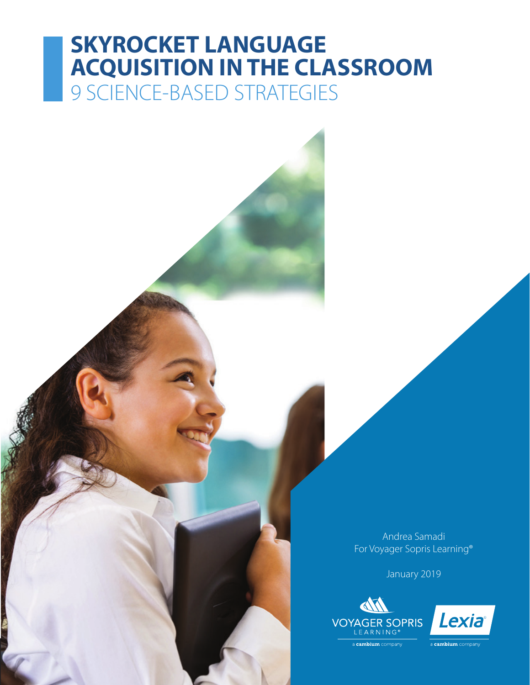# **SKYROCKET LANGUAGE ACQUISITION IN THE CLASSROOM** 9 SCIENCE-BASED STRATEGIES

Andrea Samadi For Voyager Sopris Learning®

January 2019





a **cambium** company

cambium comp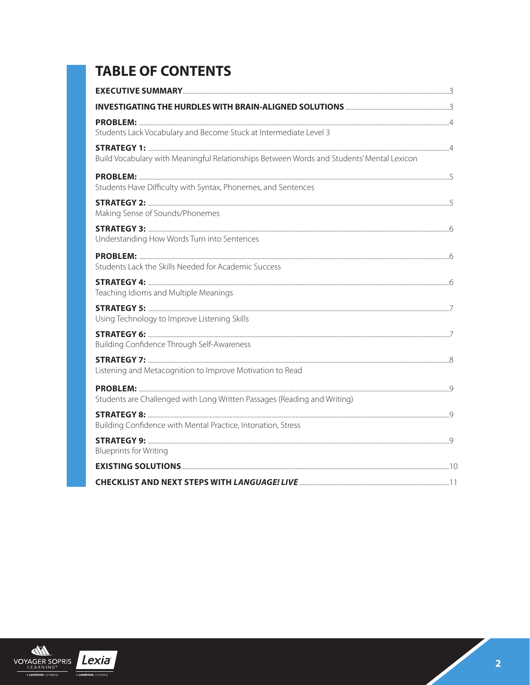## **TABLE OF CONTENTS**

| Students Lack Vocabulary and Become Stuck at Intermediate Level 3                         |  |
|-------------------------------------------------------------------------------------------|--|
|                                                                                           |  |
| Build Vocabulary with Meaningful Relationships Between Words and Students' Mental Lexicon |  |
|                                                                                           |  |
| Students Have Difficulty with Syntax, Phonemes, and Sentences                             |  |
| Making Sense of Sounds/Phonemes                                                           |  |
|                                                                                           |  |
| Understanding How Words Turn into Sentences                                               |  |
|                                                                                           |  |
| Students Lack the Skills Needed for Academic Success                                      |  |
|                                                                                           |  |
| Teaching Idioms and Multiple Meanings                                                     |  |
|                                                                                           |  |
| Using Technology to Improve Listening Skills                                              |  |
|                                                                                           |  |
| Building Confidence Through Self-Awareness                                                |  |
| Listening and Metacognition to Improve Motivation to Read                                 |  |
|                                                                                           |  |
| Students are Challenged with Long Written Passages (Reading and Writing)                  |  |
|                                                                                           |  |
| Building Confidence with Mental Practice, Intonation, Stress                              |  |
|                                                                                           |  |
| <b>Blueprints for Writing</b>                                                             |  |
|                                                                                           |  |
|                                                                                           |  |

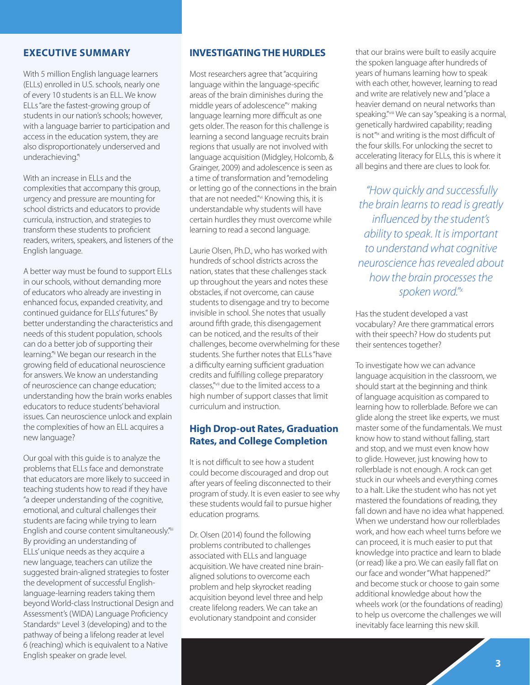#### **EXECUTIVE SUMMARY**

With 5 million English language learners (ELLs) enrolled in U.S. schools, nearly one of every 10 students is an ELL. We know ELLs "are the fastest-growing group of students in our nation's schools; however, with a language barrier to participation and access in the education system, they are also disproportionately underserved and underachieving."

With an increase in ELLs and the complexities that accompany this group, urgency and pressure are mounting for school districts and educators to provide curricula, instruction, and strategies to transform these students to proficient readers, writers, speakers, and listeners of the English language.

A better way must be found to support ELLs in our schools, without demanding more of educators who already are investing in enhanced focus, expanded creativity, and continued guidance for ELLs' futures." By better understanding the characteristics and needs of this student population, schools can do a better job of supporting their learning."ii We began our research in the growing field of educational neuroscience for answers. We know an understanding of neuroscience can change education; understanding how the brain works enables educators to reduce students' behavioral issues. Can neuroscience unlock and explain the complexities of how an ELL acquires a new language?

Our goal with this guide is to analyze the problems that ELLs face and demonstrate that educators are more likely to succeed in teaching students how to read if they have "a deeper understanding of the cognitive, emotional, and cultural challenges their students are facing while trying to learn English and course content simultaneously."iii By providing an understanding of ELLs' unique needs as they acquire a new language, teachers can utilize the suggested brain-aligned strategies to foster the development of successful Englishlanguage-learning readers taking them beyond World-class Instructional Design and Assessment's (WIDA) Language Proficiency Standardsiv Level 3 (developing) and to the pathway of being a lifelong reader at level 6 (reaching) which is equivalent to a Native English speaker on grade level.

#### **INVESTIGATING THE HURDLES**

Most researchers agree that "acquiring language within the language-specific areas of the brain diminishes during the middle years of adolescence" making language learning more difficult as one gets older. The reason for this challenge is learning a second language recruits brain regions that usually are not involved with language acquisition (Midgley, Holcomb, & Grainger, 2009) and adolescence is seen as a time of transformation and "remodeling or letting go of the connections in the brain that are not needed."vi Knowing this, it is understandable why students will have certain hurdles they must overcome while learning to read a second language.

Laurie Olsen, Ph.D., who has worked with hundreds of school districts across the nation, states that these challenges stack up throughout the years and notes these obstacles, if not overcome, can cause students to disengage and try to become invisible in school. She notes that usually around fifth grade, this disengagement can be noticed, and the results of their challenges, become overwhelming for these students. She further notes that ELLs "have a difficulty earning sufficient graduation credits and fulfilling college preparatory classes,"vii due to the limited access to a high number of support classes that limit curriculum and instruction.

#### **High Drop-out Rates, Graduation Rates, and College Completion**

It is not difficult to see how a student could become discouraged and drop out after years of feeling disconnected to their program of study. It is even easier to see why these students would fail to pursue higher education programs.

Dr. Olsen (2014) found the following problems contributed to challenges associated with ELLs and language acquisition. We have created nine brainaligned solutions to overcome each problem and help skyrocket reading acquisition beyond level three and help create lifelong readers. We can take an evolutionary standpoint and consider

that our brains were built to easily acquire the spoken language after hundreds of years of humans learning how to speak with each other, however, learning to read and write are relatively new and "place a heavier demand on neural networks than speaking."viii We can say "speaking is a normal, genetically hardwired capability; reading is not<sup>"</sup><sup>x</sup> and writing is the most difficult of the four skills. For unlocking the secret to accelerating literacy for ELLs, this is where it all begins and there are clues to look for.

*"How quickly and successfully the brain learns to read is greatly influenced by the student's ability to speak. It is important to understand what cognitive neuroscience has revealed about how the brain processes the spoken word."x*

Has the student developed a vast vocabulary? Are there grammatical errors with their speech? How do students put their sentences together?

To investigate how we can advance language acquisition in the classroom, we should start at the beginning and think of language acquisition as compared to learning how to rollerblade. Before we can glide along the street like experts, we must master some of the fundamentals. We must know how to stand without falling, start and stop, and we must even know how to glide. However, just knowing how to rollerblade is not enough. A rock can get stuck in our wheels and everything comes to a halt. Like the student who has not yet mastered the foundations of reading, they fall down and have no idea what happened. When we understand how our rollerblades work, and how each wheel turns before we can proceed, it is much easier to put that knowledge into practice and learn to blade (or read) like a pro. We can easily fall flat on our face and wonder "What happened?" and become stuck or choose to gain some additional knowledge about how the wheels work (or the foundations of reading) to help us overcome the challenges we will inevitably face learning this new skill.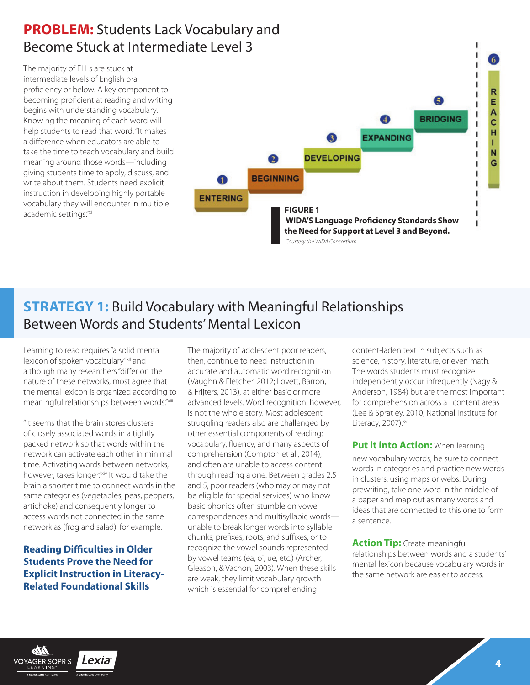### **PROBLEM:** Students Lack Vocabulary and Become Stuck at Intermediate Level 3

The majority of ELLs are stuck at intermediate levels of English oral proficiency or below. A key component to becoming proficient at reading and writing begins with understanding vocabulary. Knowing the meaning of each word will help students to read that word. "It makes a difference when educators are able to take the time to teach vocabulary and build meaning around those words—including giving students time to apply, discuss, and write about them. Students need explicit instruction in developing highly portable vocabulary they will encounter in multiple academic settings.<sup>"xi</sup> **FIGURE 1** 



### **STRATEGY 1:** Build Vocabulary with Meaningful Relationships Between Words and Students' Mental Lexicon

Learning to read requires "a solid mental lexicon of spoken vocabulary"xii and although many researchers "differ on the nature of these networks, most agree that the mental lexicon is organized according to meaningful relationships between words."xiii

"It seems that the brain stores clusters of closely associated words in a tightly packed network so that words within the network can activate each other in minimal time. Activating words between networks, however, takes longer."xiv It would take the brain a shorter time to connect words in the same categories (vegetables, peas, peppers, artichoke) and consequently longer to access words not connected in the same network as (frog and salad), for example.

**Reading Difficulties in Older Students Prove the Need for Explicit Instruction in Literacy-Related Foundational Skills**

The majority of adolescent poor readers, then, continue to need instruction in accurate and automatic word recognition (Vaughn & Fletcher, 2012; Lovett, Barron, & Frijters, 2013), at either basic or more advanced levels. Word recognition, however, is not the whole story. Most adolescent struggling readers also are challenged by other essential components of reading: vocabulary, fluency, and many aspects of comprehension (Compton et al., 2014), and often are unable to access content through reading alone. Between grades 2.5 and 5, poor readers (who may or may not be eligible for special services) who know basic phonics often stumble on vowel correspondences and multisyllabic words unable to break longer words into syllable chunks, prefixes, roots, and suffixes, or to recognize the vowel sounds represented by vowel teams (ea, oi, ue, etc.) (Archer, Gleason, & Vachon, 2003). When these skills are weak, they limit vocabulary growth which is essential for comprehending

content-laden text in subjects such as science, history, literature, or even math. The words students must recognize independently occur infrequently (Nagy & Anderson, 1984) but are the most important for comprehension across all content areas (Lee & Spratley, 2010; National Institute for Literacy, 2007).xv

**Put it into Action:** When learning new vocabulary words, be sure to connect words in categories and practice new words in clusters, using maps or webs. During prewriting, take one word in the middle of a paper and map out as many words and ideas that are connected to this one to form a sentence.

**Action Tip:** Create meaningful relationships between words and a students' mental lexicon because vocabulary words in the same network are easier to access.

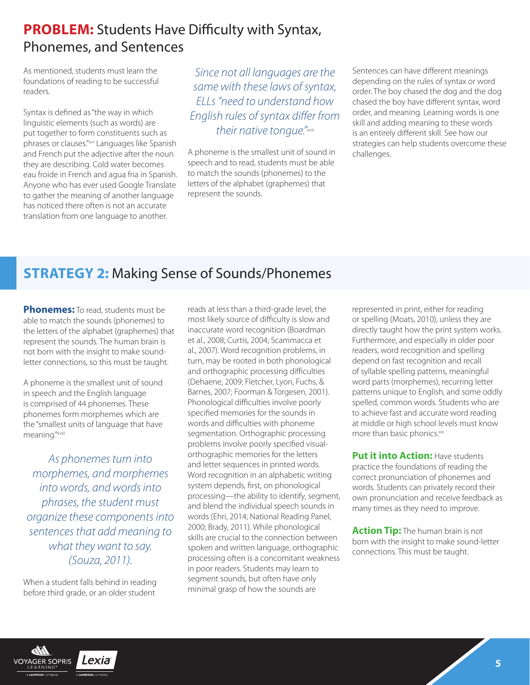### **PROBLEM:** Students Have Difficulty with Syntax, Phonemes, and Sentences

As mentioned, students must learn the foundations of reading to be successful readers.

Syntax is defined as "the way in which linguistic elements (such as words) are put together to form constituents such as phrases or clauses."xvi Languages like Spanish and French put the adjective after the noun they are describing. Cold water becomes eau froide in French and agua fria in Spanish. Anyone who has ever used Google Translate to gather the meaning of another language has noticed there often is not an accurate translation from one language to another.

*Since not all languages are the same with these laws of syntax, ELLs "need to understand how English rules of syntax differ from their native tongue."*xvii

A phoneme is the smallest unit of sound in speech and to read, students must be able to match the sounds (phonemes) to the letters of the alphabet (graphemes) that represent the sounds.

Sentences can have different meanings depending on the rules of syntax or word order. The boy chased the dog and the dog chased the boy have different syntax, word order, and meaning. Learning words is one skill and adding meaning to these words is an entirely different skill. See how our strategies can help students overcome these challenges.

### **STRATEGY 2:** Making Sense of Sounds/Phonemes

**Phonemes:** To read, students must be able to match the sounds (phonemes) to the letters of the alphabet (graphemes) that represent the sounds. The human brain is not born with the insight to make soundletter connections, so this must be taught.

A phoneme is the smallest unit of sound in speech and the English language is comprised of 44 phonemes. These phonemes form morphemes which are the "smallest units of language that have meaning."xviii

*As phonemes turn into morphemes, and morphemes into words, and words into phrases, the student must organize these components into sentences that add meaning to what they want to say. (Souza, 2011).*

When a student falls behind in reading before third grade, or an older student

reads at less than a third-grade level, the most likely source of difficulty is slow and inaccurate word recognition (Boardman et al., 2008; Curtis, 2004; Scammacca et al., 2007). Word recognition problems, in turn, may be rooted in both phonological and orthographic processing difficulties (Dehaene, 2009; Fletcher, Lyon, Fuchs, & Barnes, 2007; Foorman & Torgesen, 2001). Phonological difficulties involve poorly specified memories for the sounds in words and difficulties with phoneme segmentation. Orthographic processing problems involve poorly specified visualorthographic memories for the letters and letter sequences in printed words. Word recognition in an alphabetic writing system depends, first, on phonological processing—the ability to identify, segment, and blend the individual speech sounds in words (Ehri, 2014; National Reading Panel, 2000; Brady, 2011). While phonological skills are crucial to the connection between spoken and written language, orthographic processing often is a concomitant weakness in poor readers. Students may learn to segment sounds, but often have only minimal grasp of how the sounds are

represented in print, either for reading or spelling (Moats, 2010), unless they are directly taught how the print system works. Furthermore, and especially in older poor readers, word recognition and spelling depend on fast recognition and recall of syllable spelling patterns, meaningful word parts (morphemes), recurring letter patterns unique to English, and some oddly spelled, common words. Students who are to achieve fast and accurate word reading at middle or high school levels must know more than basic phonics.<sup>xix</sup>

**Put it into Action: Have students** practice the foundations of reading the correct pronunciation of phonemes and words. Students can privately record their own pronunciation and receive feedback as many times as they need to improve.

**Action Tip:** The human brain is not born with the insight to make sound-letter connections. This must be taught.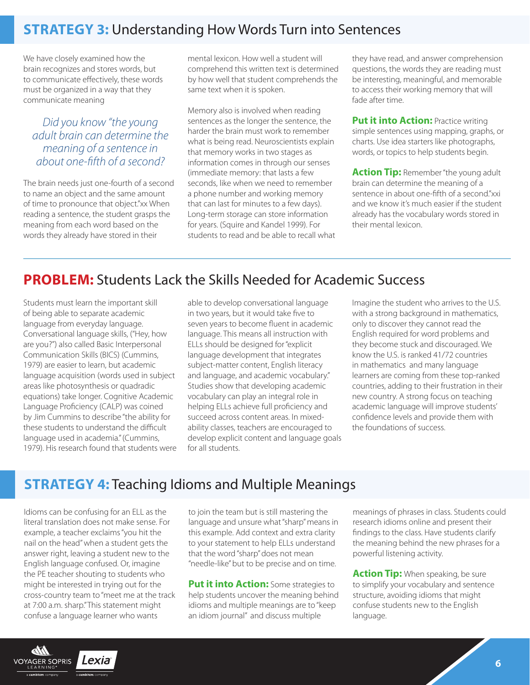### **STRATEGY 3:** Understanding How Words Turn into Sentences

We have closely examined how the brain recognizes and stores words, but to communicate effectively, these words must be organized in a way that they communicate meaning

#### *Did you know "the young adult brain can determine the meaning of a sentence in about one-fifth of a second?*

The brain needs just one-fourth of a second to name an object and the same amount of time to pronounce that object."xx When reading a sentence, the student grasps the meaning from each word based on the words they already have stored in their

mental lexicon. How well a student will comprehend this written text is determined by how well that student comprehends the same text when it is spoken.

Memory also is involved when reading sentences as the longer the sentence, the harder the brain must work to remember what is being read. Neuroscientists explain that memory works in two stages as information comes in through our senses (immediate memory: that lasts a few seconds, like when we need to remember a phone number and working memory that can last for minutes to a few days). Long-term storage can store information for years. (Squire and Kandel 1999). For students to read and be able to recall what they have read, and answer comprehension questions, the words they are reading must be interesting, meaningful, and memorable to access their working memory that will fade after time.

**Put it into Action: Practice writing** simple sentences using mapping, graphs, or charts. Use idea starters like photographs, words, or topics to help students begin.

**Action Tip:** Remember "the young adult brain can determine the meaning of a sentence in about one-fifth of a second."xxi and we know it's much easier if the student already has the vocabulary words stored in their mental lexicon.

#### **PROBLEM:** Students Lack the Skills Needed for Academic Success

Students must learn the important skill of being able to separate academic language from everyday language. Conversational language skills, ("Hey, how are you?") also called Basic Interpersonal Communication Skills (BICS) (Cummins, 1979) are easier to learn, but academic language acquisition (words used in subject areas like photosynthesis or quadradic equations) take longer. Cognitive Academic Language Proficiency (CALP) was coined by Jim Cummins to describe "the ability for these students to understand the difficult language used in academia." (Cummins, 1979). His research found that students were able to develop conversational language in two years, but it would take five to seven years to become fluent in academic language. This means all instruction with ELLs should be designed for "explicit language development that integrates subject-matter content, English literacy and language, and academic vocabulary." Studies show that developing academic vocabulary can play an integral role in helping ELLs achieve full proficiency and succeed across content areas. In mixedability classes, teachers are encouraged to develop explicit content and language goals for all students.

Imagine the student who arrives to the U.S. with a strong background in mathematics, only to discover they cannot read the English required for word problems and they become stuck and discouraged. We know the U.S. is ranked 41/72 countries in mathematics and many language learners are coming from these top-ranked countries, adding to their frustration in their new country. A strong focus on teaching academic language will improve students' confidence levels and provide them with the foundations of success.

#### **STRATEGY 4:** Teaching Idioms and Multiple Meanings

Idioms can be confusing for an ELL as the literal translation does not make sense. For example, a teacher exclaims "you hit the nail on the head" when a student gets the answer right, leaving a student new to the English language confused. Or, imagine the PE teacher shouting to students who might be interested in trying out for the cross-country team to "meet me at the track at 7:00 a.m. sharp." This statement might confuse a language learner who wants

to join the team but is still mastering the language and unsure what "sharp" means in this example. Add context and extra clarity to your statement to help ELLs understand that the word "sharp" does not mean "needle-like" but to be precise and on time.

**Put it into Action:** Some strategies to help students uncover the meaning behind idioms and multiple meanings are to "keep an idiom journal" and discuss multiple

meanings of phrases in class. Students could research idioms online and present their findings to the class. Have students clarify the meaning behind the new phrases for a powerful listening activity.

**Action Tip:** When speaking, be sure to simplify your vocabulary and sentence structure, avoiding idioms that might confuse students new to the English language.

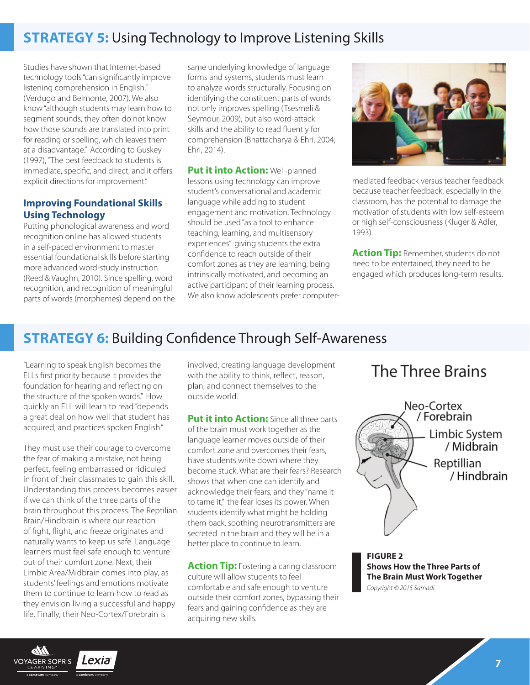### **STRATEGY 5: Using Technology to Improve Listening Skills**

Studies have shown that Internet-based technology tools "can significantly improve listening comprehension in English." (Verdugo and Belmonte, 2007). We also know "although students may learn how to segment sounds, they often do not know how those sounds are translated into print for reading or spelling, which leaves them at a disadvantage." According to Guskey (1997), "The best feedback to students is immediate, specific, and direct, and it offers explicit directions for improvement."

#### **Improving Foundational Skills Using Technology**

Putting phonological awareness and word recognition online has allowed students in a self-paced environment to master essential foundational skills before starting more advanced word-study instruction (Reed & Vaughn, 2010). Since spelling, word recognition, and recognition of meaningful parts of words (morphemes) depend on the same underlying knowledge of language forms and systems, students must learn to analyze words structurally. Focusing on identifying the constituent parts of words not only improves spelling (Tsesmeli & Seymour, 2009), but also word-attack skills and the ability to read fluently for comprehension (Bhattacharya & Ehri, 2004; Ehri, 2014).

**Put it into Action: Well-planned** lessons using technology can improve student's conversational and academic language while adding to student engagement and motivation. Technology should be used "as a tool to enhance teaching, learning, and multisensory experiences" giving students the extra confidence to reach outside of their comfort zones as they are learning, being intrinsically motivated, and becoming an active participant of their learning process. We also know adolescents prefer computer-



mediated feedback versus teacher feedback because teacher feedback, especially in the classroom, has the potential to damage the motivation of students with low self-esteem or high self-consciousness (Kluger & Adler, 1993) .

**Action Tip:** Remember, students do not need to be entertained, they need to be engaged which produces long-term results.

### **STRATEGY 6:** Building Confidence Through Self-Awareness

"Learning to speak English becomes the ELLs first priority because it provides the foundation for hearing and reflecting on the structure of the spoken words." How quickly an ELL will learn to read "depends a great deal on how well that student has acquired, and practices spoken English."

They must use their courage to overcome the fear of making a mistake, not being perfect, feeling embarrassed or ridiculed in front of their classmates to gain this skill. Understanding this process becomes easier if we can think of the three parts of the brain throughout this process. The Reptilian Brain/Hindbrain is where our reaction of fight, flight, and freeze originates and naturally wants to keep us safe. Language learners must feel safe enough to venture out of their comfort zone. Next, their Limbic Area/Midbrain comes into play, as students' feelings and emotions motivate them to continue to learn how to read as they envision living a successful and happy life. Finally, their Neo-Cortex/Forebrain is

Lexia

**VOYAGER SOPRIS** 

involved, creating language development with the ability to think, reflect, reason, plan, and connect themselves to the outside world.

**Put it into Action:** Since all three parts of the brain must work together as the language learner moves outside of their comfort zone and overcomes their fears, have students write down where they become stuck. What are their fears? Research shows that when one can identify and acknowledge their fears, and they "name it to tame it," the fear loses its power. When students identify what might be holding them back, soothing neurotransmitters are secreted in the brain and they will be in a better place to continue to learn.

**Action Tip:** Fostering a caring classroom culture will allow students to feel comfortable and safe enough to venture outside their comfort zones, bypassing their fears and gaining confidence as they are acquiring new skills.

### The Three Brains



**FIGURE 2 Shows How the Three Parts of The Brain Must Work Together** *Copyright © 2015 Samadi*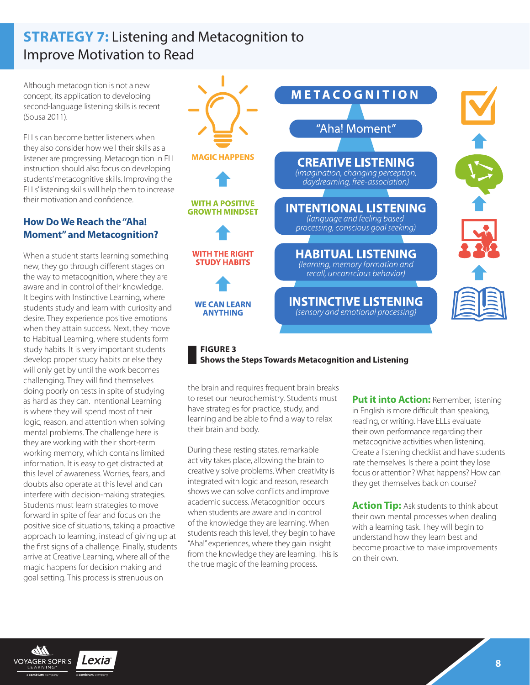### **STRATEGY 7:** Listening and Metacognition to Improve Motivation to Read

Although metacognition is not a new concept, its application to developing second-language listening skills is recent (Sousa 2011).

ELLs can become better listeners when they also consider how well their skills as a listener are progressing. Metacognition in ELL instruction should also focus on developing students' metacognitive skills. Improving the ELLs' listening skills will help them to increase their motivation and confidence.

#### **How Do We Reach the "Aha! Moment" and Metacognition?**

When a student starts learning something new, they go through different stages on the way to metacognition, where they are aware and in control of their knowledge. It begins with Instinctive Learning, where students study and learn with curiosity and desire. They experience positive emotions when they attain success. Next, they move to Habitual Learning, where students form study habits. It is very important students develop proper study habits or else they will only get by until the work becomes challenging. They will find themselves doing poorly on tests in spite of studying as hard as they can. Intentional Learning is where they will spend most of their logic, reason, and attention when solving mental problems. The challenge here is they are working with their short-term working memory, which contains limited information. It is easy to get distracted at this level of awareness. Worries, fears, and doubts also operate at this level and can interfere with decision-making strategies. Students must learn strategies to move forward in spite of fear and focus on the positive side of situations, taking a proactive approach to learning, instead of giving up at the first signs of a challenge. Finally, students arrive at Creative Learning, where all of the magic happens for decision making and goal setting. This process is strenuous on



#### **FIGURE 3 Shows the Steps Towards Metacognition and Listening**

the brain and requires frequent brain breaks to reset our neurochemistry. Students must have strategies for practice, study, and learning and be able to find a way to relax their brain and body.

During these resting states, remarkable activity takes place, allowing the brain to creatively solve problems. When creativity is integrated with logic and reason, research shows we can solve conflicts and improve academic success. Metacognition occurs when students are aware and in control of the knowledge they are learning. When students reach this level, they begin to have "Aha!" experiences, where they gain insight from the knowledge they are learning. This is the true magic of the learning process.

**Put it into Action: Remember, listening** in English is more difficult than speaking, reading, or writing. Have ELLs evaluate their own performance regarding their metacognitive activities when listening. Create a listening checklist and have students rate themselves. Is there a point they lose focus or attention? What happens? How can they get themselves back on course?

**Action Tip:** Ask students to think about their own mental processes when dealing with a learning task. They will begin to understand how they learn best and become proactive to make improvements on their own.

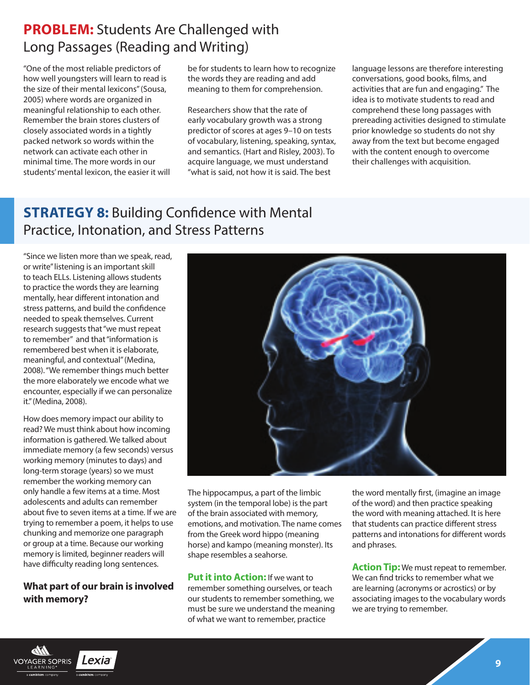### **PROBLEM:** Students Are Challenged with Long Passages (Reading and Writing)

"One of the most reliable predictors of how well youngsters will learn to read is the size of their mental lexicons" (Sousa, 2005) where words are organized in meaningful relationship to each other. Remember the brain stores clusters of closely associated words in a tightly packed network so words within the network can activate each other in minimal time. The more words in our students' mental lexicon, the easier it will be for students to learn how to recognize the words they are reading and add meaning to them for comprehension.

Researchers show that the rate of early vocabulary growth was a strong predictor of scores at ages 9–10 on tests of vocabulary, listening, speaking, syntax, and semantics. (Hart and Risley, 2003). To acquire language, we must understand "what is said, not how it is said. The best

language lessons are therefore interesting conversations, good books, films, and activities that are fun and engaging." The idea is to motivate students to read and comprehend these long passages with prereading activities designed to stimulate prior knowledge so students do not shy away from the text but become engaged with the content enough to overcome their challenges with acquisition.

### **STRATEGY 8: Building Confidence with Mental** Practice, Intonation, and Stress Patterns

"Since we listen more than we speak, read, or write" listening is an important skill to teach ELLs. Listening allows students to practice the words they are learning mentally, hear different intonation and stress patterns, and build the confidence needed to speak themselves. Current research suggests that "we must repeat to remember" and that "information is remembered best when it is elaborate, meaningful, and contextual" (Medina, 2008). "We remember things much better the more elaborately we encode what we encounter, especially if we can personalize it." (Medina, 2008).

How does memory impact our ability to read? We must think about how incoming information is gathered. We talked about immediate memory (a few seconds) versus working memory (minutes to days) and long-term storage (years) so we must remember the working memory can only handle a few items at a time. Most adolescents and adults can remember about five to seven items at a time. If we are trying to remember a poem, it helps to use chunking and memorize one paragraph or group at a time. Because our working memory is limited, beginner readers will have difficulty reading long sentences.

#### **What part of our brain is involved with memory?**



The hippocampus, a part of the limbic system (in the temporal lobe) is the part of the brain associated with memory, emotions, and motivation. The name comes from the Greek word hippo (meaning horse) and kampo (meaning monster). Its shape resembles a seahorse.

**Put it into Action:** If we want to remember something ourselves, or teach our students to remember something, we must be sure we understand the meaning of what we want to remember, practice

the word mentally first, (imagine an image of the word) and then practice speaking the word with meaning attached. It is here that students can practice different stress patterns and intonations for different words and phrases.

**Action Tip:** We must repeat to remember. We can find tricks to remember what we are learning (acronyms or acrostics) or by associating images to the vocabulary words we are trying to remember.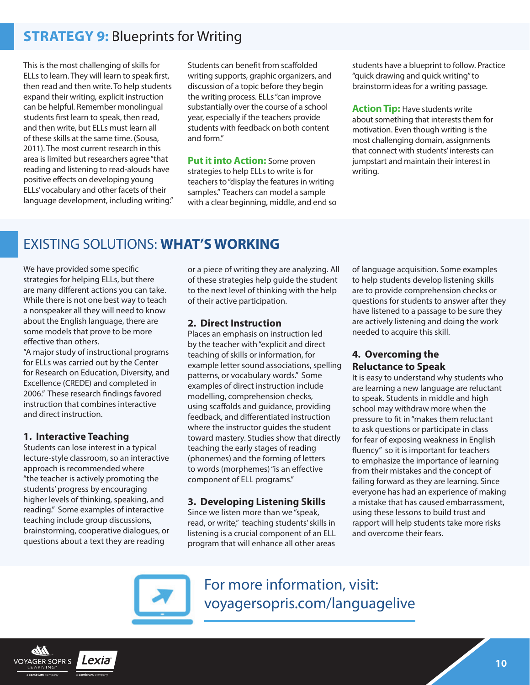### **STRATEGY 9:** Blueprints for Writing

This is the most challenging of skills for ELLs to learn. They will learn to speak first, then read and then write. To help students expand their writing, explicit instruction can be helpful. Remember monolingual students first learn to speak, then read, and then write, but ELLs must learn all of these skills at the same time. (Sousa, 2011). The most current research in this area is limited but researchers agree "that reading and listening to read-alouds have positive effects on developing young ELLs' vocabulary and other facets of their language development, including writing." Students can benefit from scaffolded writing supports, graphic organizers, and discussion of a topic before they begin the writing process. ELLs "can improve substantially over the course of a school year, especially if the teachers provide students with feedback on both content and form."

**Put it into Action:** Some proven strategies to help ELLs to write is for teachers to "display the features in writing samples." Teachers can model a sample with a clear beginning, middle, and end so students have a blueprint to follow. Practice "quick drawing and quick writing" to brainstorm ideas for a writing passage.

**Action Tip:** Have students write about something that interests them for motivation. Even though writing is the most challenging domain, assignments that connect with students' interests can jumpstart and maintain their interest in writing.

### EXISTING SOLUTIONS: **WHAT'S WORKING**

We have provided some specific strategies for helping ELLs, but there are many different actions you can take. While there is not one best way to teach a nonspeaker all they will need to know about the English language, there are some models that prove to be more effective than others.

"A major study of instructional programs for ELLs was carried out by the Center for Research on Education, Diversity, and Excellence (CREDE) and completed in 2006." These research findings favored instruction that combines interactive and direct instruction.

#### **1. Interactive Teaching**

Students can lose interest in a typical lecture-style classroom, so an interactive approach is recommended where "the teacher is actively promoting the students' progress by encouraging higher levels of thinking, speaking, and reading." Some examples of interactive teaching include group discussions, brainstorming, cooperative dialogues, or questions about a text they are reading

or a piece of writing they are analyzing. All of these strategies help guide the student to the next level of thinking with the help of their active participation.

#### **2. Direct Instruction**

Places an emphasis on instruction led by the teacher with "explicit and direct teaching of skills or information, for example letter sound associations, spelling patterns, or vocabulary words." Some examples of direct instruction include modelling, comprehension checks, using scaffolds and guidance, providing feedback, and differentiated instruction where the instructor quides the student toward mastery. Studies show that directly teaching the early stages of reading (phonemes) and the forming of letters to words (morphemes) "is an effective component of ELL programs."

#### **3. Developing Listening Skills**

Since we listen more than we "speak, read, or write," teaching students' skills in listening is a crucial component of an ELL program that will enhance all other areas

of language acquisition. Some examples to help students develop listening skills are to provide comprehension checks or questions for students to answer after they have listened to a passage to be sure they are actively listening and doing the work needed to acquire this skill.

#### **4. Overcoming the Reluctance to Speak**

It is easy to understand why students who are learning a new language are reluctant to speak. Students in middle and high school may withdraw more when the pressure to fit in "makes them reluctant to ask questions or participate in class for fear of exposing weakness in English fluency" so it is important for teachers to emphasize the importance of learning from their mistakes and the concept of failing forward as they are learning. Since everyone has had an experience of making a mistake that has caused embarrassment, using these lessons to build trust and rapport will help students take more risks and overcome their fears.



For more information, visit: [voyagersopris.com/languagelive](https://www.voyagersopris.com/literacy/language-live/overview)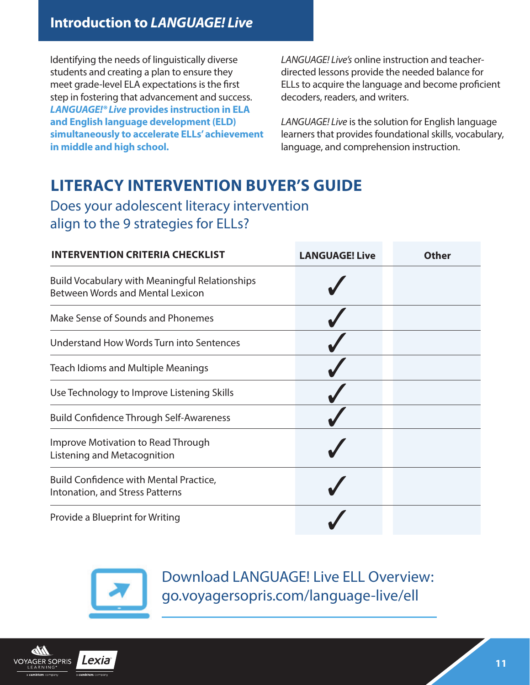Identifying the needs of linguistically diverse students and creating a plan to ensure they meet grade-level ELA expectations is the first step in fostering that advancement and success. *LANGUAGE!® Live* **provides instruction in ELA and English language development (ELD) simultaneously to accelerate ELLs' achievement in middle and high school.**

*LANGUAGE! Live's* online instruction and teacherdirected lessons provide the needed balance for ELLs to acquire the language and become proficient decoders, readers, and writers.

*LANGUAGE! Live* is the solution for English language learners that provides foundational skills, vocabulary, language, and comprehension instruction.

# **LITERACY INTERVENTION BUYER'S GUIDE**

Does your adolescent literacy intervention align to the 9 strategies for ELLs?

| <b>INTERVENTION CRITERIA CHECKLIST</b>                                                           | <b>LANGUAGE! Live</b> | Other |
|--------------------------------------------------------------------------------------------------|-----------------------|-------|
| <b>Build Vocabulary with Meaningful Relationships</b><br><b>Between Words and Mental Lexicon</b> |                       |       |
| Make Sense of Sounds and Phonemes                                                                |                       |       |
| Understand How Words Turn into Sentences                                                         |                       |       |
| <b>Teach Idioms and Multiple Meanings</b>                                                        |                       |       |
| Use Technology to Improve Listening Skills                                                       |                       |       |
| <b>Build Confidence Through Self-Awareness</b>                                                   |                       |       |
| Improve Motivation to Read Through<br>Listening and Metacognition                                |                       |       |
| <b>Build Confidence with Mental Practice,</b><br>Intonation, and Stress Patterns                 |                       |       |
| Provide a Blueprint for Writing                                                                  |                       |       |



Download LANGUAGE! Live ELL Overview: [go.voyagersopris.com/language-live/ell](http://go.voyagersopris.com/language-live/ell)